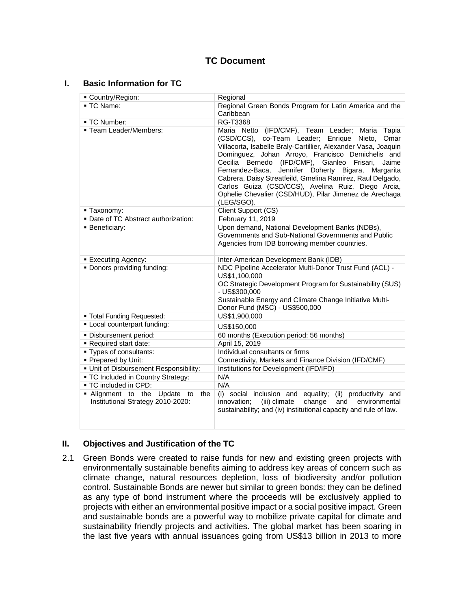# **TC Document**

### **I. Basic Information for TC**

| Country/Region:                                                             | Regional                                                                                                                                                                                                                                                                                                                                                                                                                                                                                                                                       |
|-----------------------------------------------------------------------------|------------------------------------------------------------------------------------------------------------------------------------------------------------------------------------------------------------------------------------------------------------------------------------------------------------------------------------------------------------------------------------------------------------------------------------------------------------------------------------------------------------------------------------------------|
| ■ TC Name:                                                                  | Regional Green Bonds Program for Latin America and the<br>Caribbean                                                                                                                                                                                                                                                                                                                                                                                                                                                                            |
| - TC Number:                                                                | <b>RG-T3368</b>                                                                                                                                                                                                                                                                                                                                                                                                                                                                                                                                |
| ■ Team Leader/Members:                                                      | Maria Netto (IFD/CMF), Team Leader; Maria<br>Tapia<br>(CSD/CCS), co-Team Leader; Enrique Nieto,<br>Omar<br>Villacorta, Isabelle Braly-Cartillier, Alexander Vasa, Joaquin<br>Dominguez, Johan Arroyo, Francisco Demichelis and<br>Cecilia Bernedo (IFD/CMF), Gianleo Frisari,<br>Jaime<br>Fernandez-Baca,<br>Jennifer Doherty Bigara,<br>Margarita<br>Cabrera, Daisy Streatfeild, Gmelina Ramirez, Raul Delgado,<br>Carlos Guiza (CSD/CCS), Avelina Ruiz, Diego Arcia,<br>Ophelie Chevalier (CSD/HUD), Pilar Jimenez de Arechaga<br>(LEG/SGO). |
| - Taxonomy:                                                                 | Client Support (CS)                                                                                                                                                                                                                                                                                                                                                                                                                                                                                                                            |
| . Date of TC Abstract authorization:                                        | February 11, 2019                                                                                                                                                                                                                                                                                                                                                                                                                                                                                                                              |
| <b>Beneficiary:</b>                                                         | Upon demand, National Development Banks (NDBs),<br>Governments and Sub-National Governments and Public<br>Agencies from IDB borrowing member countries.                                                                                                                                                                                                                                                                                                                                                                                        |
| <b>Executing Agency:</b>                                                    | Inter-American Development Bank (IDB)                                                                                                                                                                                                                                                                                                                                                                                                                                                                                                          |
| . Donors providing funding:                                                 | NDC Pipeline Accelerator Multi-Donor Trust Fund (ACL) -<br>US\$1,100,000<br>OC Strategic Development Program for Sustainability (SUS)<br>- US\$300,000<br>Sustainable Energy and Climate Change Initiative Multi-<br>Donor Fund (MSC) - US\$500,000                                                                                                                                                                                                                                                                                            |
| " Total Funding Requested:                                                  | US\$1,900,000                                                                                                                                                                                                                                                                                                                                                                                                                                                                                                                                  |
| • Local counterpart funding:                                                | US\$150,000                                                                                                                                                                                                                                                                                                                                                                                                                                                                                                                                    |
| · Disbursement period:                                                      | 60 months (Execution period: 56 months)                                                                                                                                                                                                                                                                                                                                                                                                                                                                                                        |
| Required start date:                                                        | April 15, 2019                                                                                                                                                                                                                                                                                                                                                                                                                                                                                                                                 |
| - Types of consultants:                                                     | Individual consultants or firms                                                                                                                                                                                                                                                                                                                                                                                                                                                                                                                |
| • Prepared by Unit:                                                         | Connectivity, Markets and Finance Division (IFD/CMF)                                                                                                                                                                                                                                                                                                                                                                                                                                                                                           |
| · Unit of Disbursement Responsibility:                                      | Institutions for Development (IFD/IFD)                                                                                                                                                                                                                                                                                                                                                                                                                                                                                                         |
| - TC Included in Country Strategy:                                          | N/A                                                                                                                                                                                                                                                                                                                                                                                                                                                                                                                                            |
| - TC included in CPD:                                                       | N/A                                                                                                                                                                                                                                                                                                                                                                                                                                                                                                                                            |
| • Alignment to the<br>Update to<br>the<br>Institutional Strategy 2010-2020: | (i) social inclusion and equality;<br>(ii) productivity and<br>innovation;<br>change<br>and<br>environmental<br>(iii) climate<br>sustainability; and (iv) institutional capacity and rule of law.                                                                                                                                                                                                                                                                                                                                              |

### **II. Objectives and Justification of the TC**

2.1 Green Bonds were created to raise funds for new and existing green projects with environmentally sustainable benefits aiming to address key areas of concern such as climate change, natural resources depletion, loss of biodiversity and/or pollution control. Sustainable Bonds are newer but similar to green bonds: they can be defined as any type of bond instrument where the proceeds will be exclusively applied to projects with either an environmental positive impact or a social positive impact. Green and sustainable bonds are a powerful way to mobilize private capital for climate and sustainability friendly projects and activities. The global market has been soaring in the last five years with annual issuances going from US\$13 billion in 2013 to more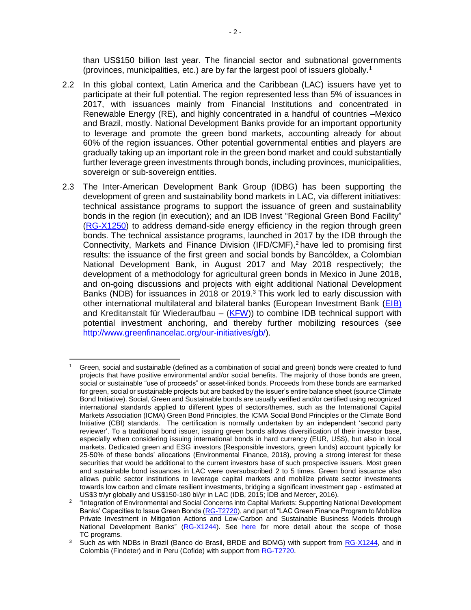than US\$150 billion last year. The financial sector and subnational governments (provinces, municipalities, etc.) are by far the largest pool of issuers globally.<sup>1</sup>

- 2.2 In this global context, Latin America and the Caribbean (LAC) issuers have yet to participate at their full potential. The region represented less than 5% of issuances in 2017, with issuances mainly from Financial Institutions and concentrated in Renewable Energy (RE), and highly concentrated in a handful of countries –Mexico and Brazil, mostly. National Development Banks provide for an important opportunity to leverage and promote the green bond markets, accounting already for about 60% of the region issuances. Other potential governmental entities and players are gradually taking up an important role in the green bond market and could substantially further leverage green investments through bonds, including provinces, municipalities, sovereign or sub-sovereign entities.
- 2.3 The Inter-American Development Bank Group (IDBG) has been supporting the development of green and sustainability bond markets in LAC, via different initiatives: technical assistance programs to support the issuance of green and sustainability bonds in the region (in execution); and an IDB Invest "Regional Green Bond Facility" [\(RG-X1250\)](https://www.iadb.org/en/project/RG-X1250) to address demand-side energy efficiency in the region through green bonds. The technical assistance programs, launched in 2017 by the IDB through the Connectivity, Markets and Finance Division (IFD/CMF), <sup>2</sup> have led to promising first results: the issuance of the first green and social bonds by Bancóldex, a Colombian National Development Bank, in August 2017 and May 2018 respectively; the development of a methodology for agricultural green bonds in Mexico in June 2018, and on-going discussions and projects with eight additional National Development Banks (NDB) for issuances in 2018 or 2019.<sup>3</sup> This work led to early discussion with other international multilateral and bilateral banks (European Investment Bank [\(EIB\)](http://www.eib.org/en/index.htm) and Kreditanstalt für Wiederaufbau  $-$  [\(KFW\)](https://www.kfw.de/)) to combine IDB technical support with potential investment anchoring, and thereby further mobilizing resources (see [http://www.greenfinancelac.org/our-initiatives/gb/\)](http://www.greenfinancelac.org/our-initiatives/gb/).

 $\overline{a}$ Green, social and sustainable (defined as a combination of social and green) bonds were created to fund projects that have positive environmental and/or social benefits. The majority of those bonds are green, social or sustainable "use of proceeds" or asset-linked bonds. Proceeds from these bonds are earmarked for green, social or sustainable projects but are backed by the issuer's entire balance sheet (source Climate Bond Initiative). Social, Green and Sustainable bonds are usually verified and/or certified using recognized international standards applied to different types of sectors/themes, such as the International Capital Markets Association (ICMA) Green Bond Principles, the ICMA Social Bond Principles or the Climate Bond Initiative (CBI) standards. The certification is normally undertaken by an independent 'second party reviewer'. To a traditional bond issuer, issuing green bonds allows diversification of their investor base, especially when considering issuing international bonds in hard currency (EUR, US\$), but also in local markets. Dedicated green and ESG investors (Responsible investors, green funds) account typically for 25-50% of these bonds' allocations (Environmental Finance, 2018), proving a strong interest for these securities that would be additional to the current investors base of such prospective issuers. Most green and sustainable bond issuances in LAC were oversubscribed 2 to 5 times. Green bond issuance also allows public sector institutions to leverage capital markets and mobilize private sector investments towards low carbon and climate resilient investments, bridging a significant investment gap - estimated at US\$3 tr/yr globally and US\$150-180 bl/yr in LAC (IDB, 2015; IDB and Mercer, 2016).

<sup>&</sup>lt;sup>2</sup> "Integration of Environmental and Social Concerns into Capital Markets: Supporting National Development Banks' Capacities to Issue Green Bonds [\(RG-T2720\)](https://www.iadb.org/en/project/RG-T2720), and part of "LAC Green Finance Program to Mobilize Private Investment in Mitigation Actions and Low-Carbon and Sustainable Business Models through National Development Banks" [\(RG-X1244\)](https://www.iadb.org/en/project/RG-X1244). See [here](http://www.greenfinancelac.org/our-initiatives/gb/) for more detail about the scope of those TC programs.

 $3\sigma$  Such as with NDBs in Brazil (Banco do Brasil, BRDE and BDMG) with support from [RG-X1244,](https://www.iadb.org/en/project/RG-X1244) and in Colombia (Findeter) and in Peru (Cofide) with support from [RG-T2720.](https://www.iadb.org/en/project/RG-T2720)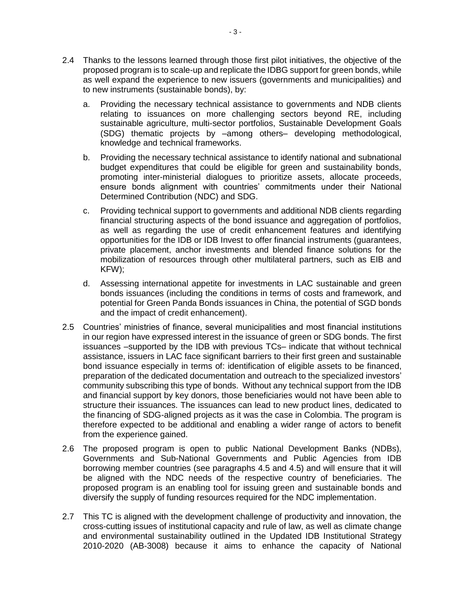- 2.4 Thanks to the lessons learned through those first pilot initiatives, the objective of the proposed program is to scale-up and replicate the IDBG support for green bonds, while as well expand the experience to new issuers (governments and municipalities) and to new instruments (sustainable bonds), by:
	- a. Providing the necessary technical assistance to governments and NDB clients relating to issuances on more challenging sectors beyond RE, including sustainable agriculture, multi-sector portfolios, Sustainable Development Goals (SDG) thematic projects by –among others– developing methodological, knowledge and technical frameworks.
	- b. Providing the necessary technical assistance to identify national and subnational budget expenditures that could be eligible for green and sustainability bonds, promoting inter-ministerial dialogues to prioritize assets, allocate proceeds, ensure bonds alignment with countries' commitments under their National Determined Contribution (NDC) and SDG.
	- c. Providing technical support to governments and additional NDB clients regarding financial structuring aspects of the bond issuance and aggregation of portfolios, as well as regarding the use of credit enhancement features and identifying opportunities for the IDB or IDB Invest to offer financial instruments (guarantees, private placement, anchor investments and blended finance solutions for the mobilization of resources through other multilateral partners, such as EIB and KFW);
	- d. Assessing international appetite for investments in LAC sustainable and green bonds issuances (including the conditions in terms of costs and framework, and potential for Green Panda Bonds issuances in China, the potential of SGD bonds and the impact of credit enhancement).
- 2.5 Countries' ministries of finance, several municipalities and most financial institutions in our region have expressed interest in the issuance of green or SDG bonds. The first issuances –supported by the IDB with previous TCs– indicate that without technical assistance, issuers in LAC face significant barriers to their first green and sustainable bond issuance especially in terms of: identification of eligible assets to be financed, preparation of the dedicated documentation and outreach to the specialized investors' community subscribing this type of bonds. Without any technical support from the IDB and financial support by key donors, those beneficiaries would not have been able to structure their issuances. The issuances can lead to new product lines, dedicated to the financing of SDG-aligned projects as it was the case in Colombia. The program is therefore expected to be additional and enabling a wider range of actors to benefit from the experience gained.
- 2.6 The proposed program is open to public National Development Banks (NDBs), Governments and Sub-National Governments and Public Agencies from IDB borrowing member countries (see paragraphs [4.5](#page-5-0) and [4.5\)](#page-5-1) and will ensure that it will be aligned with the NDC needs of the respective country of beneficiaries. The proposed program is an enabling tool for issuing green and sustainable bonds and diversify the supply of funding resources required for the NDC implementation.
- 2.7 This TC is aligned with the development challenge of productivity and innovation, the cross-cutting issues of institutional capacity and rule of law, as well as climate change and environmental sustainability outlined in the Updated IDB Institutional Strategy 2010-2020 (AB-3008) because it aims to enhance the capacity of National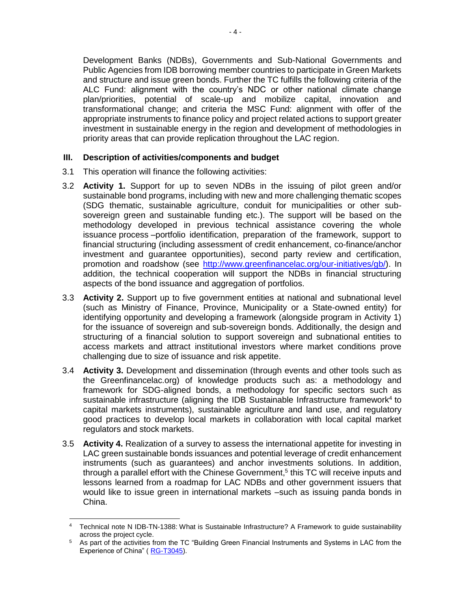Development Banks (NDBs), Governments and Sub-National Governments and Public Agencies from IDB borrowing member countries to participate in Green Markets and structure and issue green bonds. Further the TC fulfills the following criteria of the ALC Fund: alignment with the country's NDC or other national climate change plan/priorities, potential of scale-up and mobilize capital, innovation and transformational change; and criteria the MSC Fund: alignment with offer of the appropriate instruments to finance policy and project related actions to support greater investment in sustainable energy in the region and development of methodologies in priority areas that can provide replication throughout the LAC region.

### **III. Description of activities/components and budget**

3.1 This operation will finance the following activities:

 $\overline{a}$ 

- 3.2 **Activity 1.** Support for up to seven NDBs in the issuing of pilot green and/or sustainable bond programs, including with new and more challenging thematic scopes (SDG thematic, sustainable agriculture, conduit for municipalities or other subsovereign green and sustainable funding etc.). The support will be based on the methodology developed in previous technical assistance covering the whole issuance process – portfolio identification, preparation of the framework, support to financial structuring (including assessment of credit enhancement, co-finance/anchor investment and guarantee opportunities), second party review and certification, promotion and roadshow (see [http://www.greenfinancelac.org/our-initiatives/gb/\)](http://www.greenfinancelac.org/our-initiatives/gb/). In addition, the technical cooperation will support the NDBs in financial structuring aspects of the bond issuance and aggregation of portfolios.
- 3.3 **Activity 2.** Support up to five government entities at national and subnational level (such as Ministry of Finance, Province, Municipality or a State-owned entity) for identifying opportunity and developing a framework (alongside program in Activity 1) for the issuance of sovereign and sub-sovereign bonds. Additionally, the design and structuring of a financial solution to support sovereign and subnational entities to access markets and attract institutional investors where market conditions prove challenging due to size of issuance and risk appetite.
- 3.4 **Activity 3.** Development and dissemination (through events and other tools such as the Greenfinancelac.org) of knowledge products such as: a methodology and framework for SDG-aligned bonds, a methodology for specific sectors such as sustainable infrastructure (aligning the IDB Sustainable Infrastructure framework $4$  to capital markets instruments), sustainable agriculture and land use, and regulatory good practices to develop local markets in collaboration with local capital market regulators and stock markets.
- 3.5 **Activity 4.** Realization of a survey to assess the international appetite for investing in LAC green sustainable bonds issuances and potential leverage of credit enhancement instruments (such as guarantees) and anchor investments solutions. In addition, through a parallel effort with the Chinese Government,<sup>5</sup> this TC will receive inputs and lessons learned from a roadmap for LAC NDBs and other government issuers that would like to issue green in international markets –such as issuing panda bonds in China.

<sup>4</sup> Technical note N IDB-TN-1388: What is Sustainable Infrastructure? A Framework to guide sustainability across the project cycle.

<sup>&</sup>lt;sup>5</sup> As part of the activities from the TC "Building Green Financial Instruments and Systems in LAC from the Experience of China" ( [RG-T3045\)](https://www.iadb.org/en/project/RG-T3045).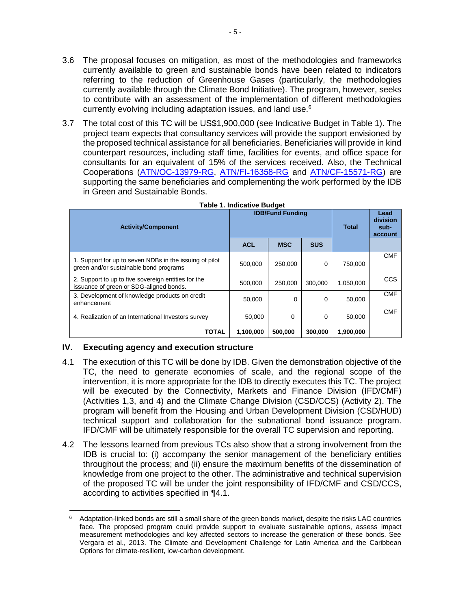- 3.6 The proposal focuses on mitigation, as most of the methodologies and frameworks currently available to green and sustainable bonds have been related to indicators referring to the reduction of Greenhouse Gases (particularly, the methodologies currently available through the Climate Bond Initiative). The program, however, seeks to contribute with an assessment of the implementation of different methodologies currently evolving including adaptation issues, and land use.<sup>6</sup>
- 3.7 The total cost of this TC will be US\$1,900,000 (see Indicative Budget in Table 1). The project team expects that consultancy services will provide the support envisioned by the proposed technical assistance for all beneficiaries. Beneficiaries will provide in kind counterpart resources, including staff time, facilities for events, and office space for consultants for an equivalent of 15% of the services received. Also, the Technical Cooperations [\(ATN/OC-13979-RG,](https://www.iadb.org/en/project/RG-T2270) ATN/FI-16358-RG and [ATN/CF-15571-RG\)](https://www.iadb.org/en/project/RG-X1244) are supporting the same beneficiaries and complementing the work performed by the IDB in Green and Sustainable Bonds.

| <b>Activity/Component</b>                                                                         | <b>IDB/Fund Funding</b> |            | <b>Total</b> | Lead<br>division<br>sub-<br>account |            |
|---------------------------------------------------------------------------------------------------|-------------------------|------------|--------------|-------------------------------------|------------|
|                                                                                                   | <b>ACL</b>              | <b>MSC</b> | <b>SUS</b>   |                                     |            |
| 1. Support for up to seven NDBs in the issuing of pilot<br>green and/or sustainable bond programs | 500,000                 | 250,000    | $\Omega$     | 750,000                             | <b>CMF</b> |
| 2. Support to up to five sovereign entities for the<br>issuance of green or SDG-aligned bonds.    | 500.000                 | 250,000    | 300.000      | 1.050.000                           | <b>CCS</b> |
| 3. Development of knowledge products on credit<br>enhancement                                     | 50.000                  | 0          | $\Omega$     | 50.000                              | <b>CMF</b> |
| 4. Realization of an International Investors survey                                               | 50,000                  | 0          | 0            | 50.000                              | <b>CMF</b> |
| <b>TOTAL</b>                                                                                      | 1,100,000               | 500,000    | 300,000      | 1,900,000                           |            |

|  | <b>Table 1. Indicative Budget</b> |  |
|--|-----------------------------------|--|
|  |                                   |  |

## **IV. Executing agency and execution structure**

- <span id="page-4-0"></span>4.1 The execution of this TC will be done by IDB. Given the demonstration objective of the TC, the need to generate economies of scale, and the regional scope of the intervention, it is more appropriate for the IDB to directly executes this TC. The project will be executed by the Connectivity, Markets and Finance Division (IFD/CMF) (Activities 1,3, and 4) and the Climate Change Division (CSD/CCS) (Activity 2). The program will benefit from the Housing and Urban Development Division (CSD/HUD) technical support and collaboration for the subnational bond issuance program. IFD/CMF will be ultimately responsible for the overall TC supervision and reporting.
- 4.2 The lessons learned from previous TCs also show that a strong involvement from the IDB is crucial to: (i) accompany the senior management of the beneficiary entities throughout the process; and (ii) ensure the maximum benefits of the dissemination of knowledge from one project to the other. The administrative and technical supervision of the proposed TC will be under the joint responsibility of IFD/CMF and CSD/CCS, according to activities specified in [¶4.1.](#page-4-0)

 $\overline{\phantom{a}}$ <sup>6</sup> Adaptation-linked bonds are still a small share of the green bonds market, despite the risks LAC countries face. The proposed program could provide support to evaluate sustainable options, assess impact measurement methodologies and key affected sectors to increase the generation of these bonds. See Vergara et al., 2013. The Climate and Development Challenge for Latin America and the Caribbean Options for climate-resilient, low-carbon development.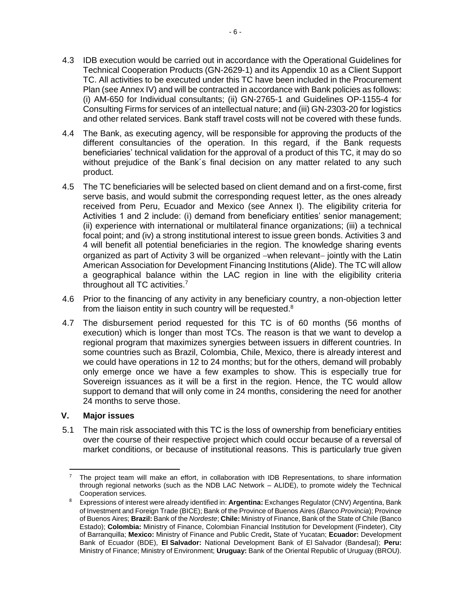- 4.3 IDB execution would be carried out in accordance with the Operational Guidelines for Technical Cooperation Products (GN-2629-1) and its Appendix 10 as a Client Support TC. All activities to be executed under this TC have been included in the Procurement Plan (see Annex IV) and will be contracted in accordance with Bank policies as follows: (i) AM-650 for Individual consultants; (ii) GN-2765-1 and Guidelines OP-1155-4 for Consulting Firms for services of an intellectual nature; and (iii) GN-2303-20 for logistics and other related services. Bank staff travel costs will not be covered with these funds.
- 4.4 The Bank, as executing agency, will be responsible for approving the products of the different consultancies of the operation. In this regard, if the Bank requests beneficiaries' technical validation for the approval of a product of this TC, it may do so without prejudice of the Bank´s final decision on any matter related to any such product.
- <span id="page-5-0"></span>4.5 The TC beneficiaries will be selected based on client demand and on a first-come, first serve basis, and would submit the corresponding request letter, as the ones already received from Peru, Ecuador and Mexico (see Annex I). The eligibility criteria for Activities 1 and 2 include: (i) demand from beneficiary entities' senior management; (ii) experience with international or multilateral finance organizations; (iii) a technical focal point; and (iv) a strong institutional interest to issue green bonds. Activities 3 and 4 will benefit all potential beneficiaries in the region. The knowledge sharing events organized as part of Activity 3 will be organized −when relevant− jointly with the Latin American Association for Development Financing Institutions (Alide). The TC will allow a geographical balance within the LAC region in line with the eligibility criteria throughout all TC activities.<sup>7</sup>
- <span id="page-5-1"></span>4.6 Prior to the financing of any activity in any beneficiary country, a non-objection letter from the liaison entity in such country will be requested. $8$
- 4.7 The disbursement period requested for this TC is of 60 months (56 months of execution) which is longer than most TCs. The reason is that we want to develop a regional program that maximizes synergies between issuers in different countries. In some countries such as Brazil, Colombia, Chile, Mexico, there is already interest and we could have operations in 12 to 24 months; but for the others, demand will probably only emerge once we have a few examples to show. This is especially true for Sovereign issuances as it will be a first in the region. Hence, the TC would allow support to demand that will only come in 24 months, considering the need for another 24 months to serve those.

### **V. Major issues**

5.1 The main risk associated with this TC is the loss of ownership from beneficiary entities over the course of their respective project which could occur because of a reversal of market conditions, or because of institutional reasons. This is particularly true given

 $\overline{\phantom{a}}$ <sup>7</sup> The project team will make an effort, in collaboration with IDB Representations, to share information through regional networks (such as the NDB LAC Network – ALIDE), to promote widely the Technical Cooperation services.

<sup>8</sup> Expressions of interest were already identified in: **Argentina:** Exchanges Regulator (CNV) Argentina, Bank of Investment and Foreign Trade (BICE); Bank of the Province of Buenos Aires (*Banco Provincia*); Province of Buenos Aires; **Brazil:** Bank of the *Nordeste*; **Chile:** Ministry of Finance, Bank of the State of Chile (Banco Estado); **Colombia:** Ministry of Finance, Colombian Financial Institution for Development (Findeter), City of Barranquilla; **Mexico:** Ministry of Finance and Public Credit**,** State of Yucatan; **Ecuador:** Development Bank of Ecuador (BDE), **El Salvador:** National Development Bank of El Salvador (Bandesal); **Peru:** Ministry of Finance; Ministry of Environment; **Uruguay:** Bank of the Oriental Republic of Uruguay (BROU).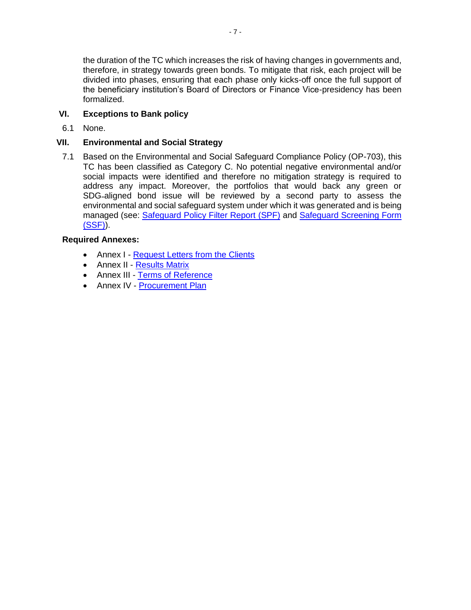the duration of the TC which increases the risk of having changes in governments and, therefore, in strategy towards green bonds. To mitigate that risk, each project will be divided into phases, ensuring that each phase only kicks-off once the full support of the beneficiary institution's Board of Directors or Finance Vice-presidency has been formalized.

# **VI. Exceptions to Bank policy**

6.1 None.

## **VII. Environmental and Social Strategy**

7.1 Based on the Environmental and Social Safeguard Compliance Policy (OP-703), this TC has been classified as Category C. No potential negative environmental and/or social impacts were identified and therefore no mitigation strategy is required to address any impact. Moreover, the portfolios that would back any green or SDG-aligned bond issue will be reviewed by a second party to assess the environmental and social safeguard system under which it was generated and is being managed (see: [Safeguard Policy Filter Report \(SPF\)](http://idbdocs.iadb.org/wsdocs/getDocument.aspx?DOCNUM=EZSHARE-98902581-1) and [Safeguard Screening Form](http://idbdocs.iadb.org/wsdocs/getDocument.aspx?DOCNUM=EZSHARE-98902581-2) [\(SSF\)\)](http://idbdocs.iadb.org/wsdocs/getDocument.aspx?DOCNUM=EZSHARE-98902581-2).

## **Required Annexes:**

- Annex I [Request Letters](http://idbdocs.iadb.org/wsdocs/getDocument.aspx?DOCNUM=EZSHARE-98902581-6) from the Clients
- Annex II [Results Matrix](http://idbdocs.iadb.org/wsdocs/getDocument.aspx?DOCNUM=EZSHARE-98902581-10)
- Annex III [Terms of Reference](http://idbdocs.iadb.org/wsdocs/getDocument.aspx?DOCNUM=EZSHARE-98902581-8)
- Annex IV [Procurement Plan](http://idbdocs.iadb.org/wsdocs/getDocument.aspx?DOCNUM=EZSHARE-98902581-9)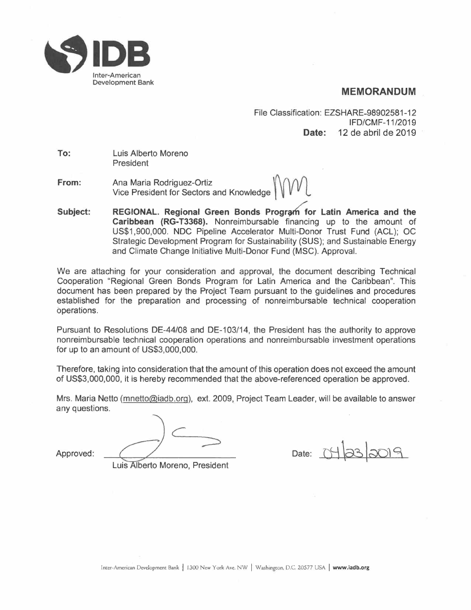

# **MEMORANDUM**

File Classification: EZSHARE-98902581-12 IFD/CMF-11/2019 **Date:** 12 de abril de 2019

**To:**  Luis Alberto Moreno President

**From:**  Ana Maria Rodriguez-Ortiz *\J\nnn*  Vice President for Sectors and Knowledge

**Subject: REGIONAL. Regional Green Bonds Program for Latin America and the Caribbean (RG-T3368).** Nonreimbursable financing up to the amount of US\$1,900,000. NOC Pipeline Accelerator Multi-Donor Trust Fund (ACL); OC Strategic Development Program for Sustainability (SUS); and Sustainable Energy and Climate Change Initiative Multi-Donor Fund (MSC). Approval.

We are attaching for your consideration and approval, the document describing Technical Cooperation "Regional Green Bonds Program for Latin America and the Caribbean". This document has been prepared by the Project Team pursuant to the guidelines and procedures established for the preparation and processing of nonreimbursable technical cooperation operations.

Pursuant to Resolutions DE-44/08 and DE-103/14, the President has the authority to approve nonreimbursable technical cooperation operations and nonreimbursable investment operations for up to an amount of US\$3,000,000.

Therefore, taking into consideration that the amount of this operation does not exceed the amount of US\$3,000,000, it is hereby recommended that the above-referenced operation be approved.

Mrs. Maria Netto (mnetto@iadb.org), ext. 2009, Project Team Leader, will be available to answer any questions.

*e*  Approved: <del>Computed: Date: 0903009</del>